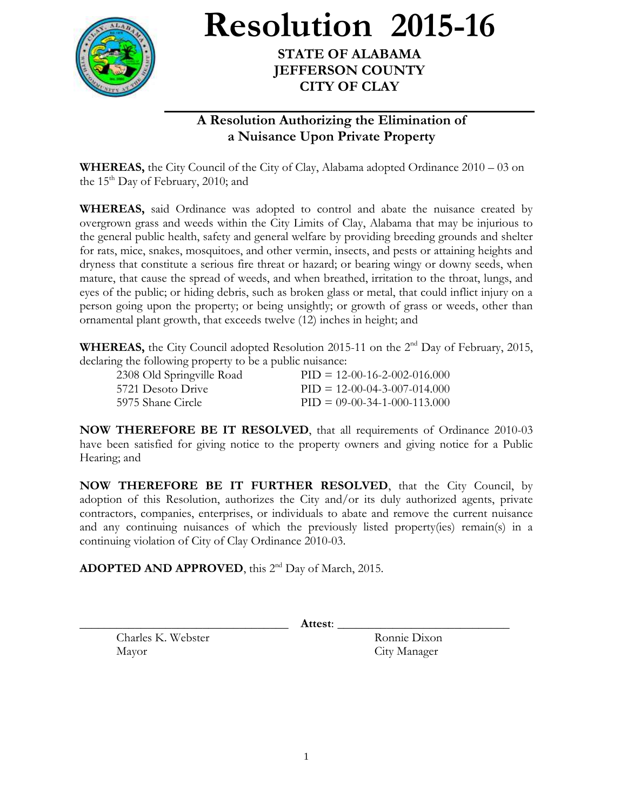

**Resolution 2015-16**

**STATE OF ALABAMA JEFFERSON COUNTY CITY OF CLAY**

## **A Resolution Authorizing the Elimination of a Nuisance Upon Private Property**

**WHEREAS,** the City Council of the City of Clay, Alabama adopted Ordinance 2010 – 03 on the 15<sup>th</sup> Day of February, 2010; and

**WHEREAS,** said Ordinance was adopted to control and abate the nuisance created by overgrown grass and weeds within the City Limits of Clay, Alabama that may be injurious to the general public health, safety and general welfare by providing breeding grounds and shelter for rats, mice, snakes, mosquitoes, and other vermin, insects, and pests or attaining heights and dryness that constitute a serious fire threat or hazard; or bearing wingy or downy seeds, when mature, that cause the spread of weeds, and when breathed, irritation to the throat, lungs, and eyes of the public; or hiding debris, such as broken glass or metal, that could inflict injury on a person going upon the property; or being unsightly; or growth of grass or weeds, other than ornamental plant growth, that exceeds twelve (12) inches in height; and

**WHEREAS,** the City Council adopted Resolution 2015-11 on the 2<sup>nd</sup> Day of February, 2015, declaring the following property to be a public nuisance:

| 2308 Old Springville Road | $PID = 12-00-16-2-002-016,000$ |
|---------------------------|--------------------------------|
| 5721 Desoto Drive         | $PID = 12-00-04-3-007-014.000$ |
| -5975 Shane Circle        | $PID = 09-00-34-1-000-113.000$ |

**NOW THEREFORE BE IT RESOLVED**, that all requirements of Ordinance 2010-03 have been satisfied for giving notice to the property owners and giving notice for a Public Hearing; and

**NOW THEREFORE BE IT FURTHER RESOLVED**, that the City Council, by adoption of this Resolution, authorizes the City and/or its duly authorized agents, private contractors, companies, enterprises, or individuals to abate and remove the current nuisance and any continuing nuisances of which the previously listed property(ies) remain(s) in a continuing violation of City of Clay Ordinance 2010-03.

ADOPTED AND APPROVED, this 2<sup>nd</sup> Day of March, 2015.

\_\_\_\_\_\_\_\_\_\_\_\_\_\_\_\_\_\_\_\_\_\_\_\_\_\_\_\_\_\_\_\_\_\_ **Attest**: \_\_\_\_\_\_\_\_\_\_\_\_\_\_\_\_\_\_\_\_\_\_\_\_\_\_\_\_

Charles K. Webster Ronnie Dixon Mayor City Manager